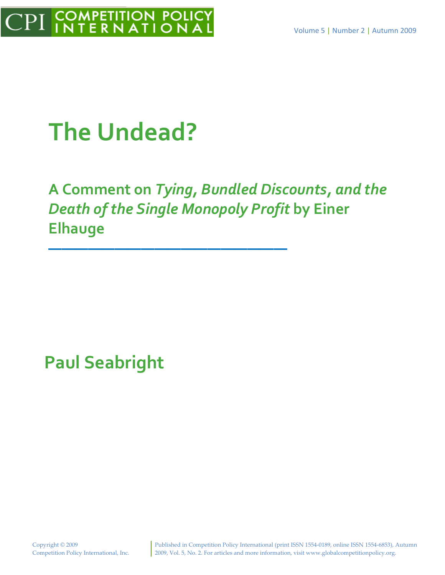# **The Undead?**

### **A Comment on** *Tying, Bundled Discounts, and the Death of the Single Monopoly Profit* **by Einer Elhauge**

**——————————————————**

**Paul Seabright**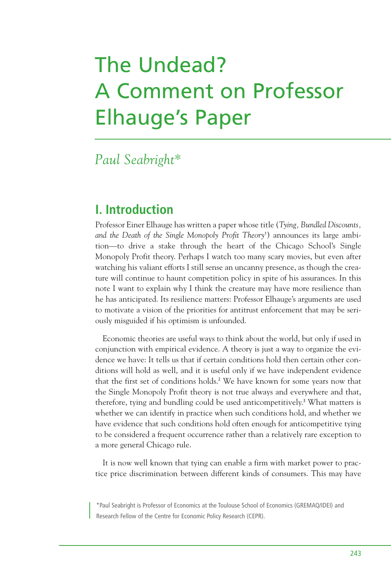## The Undead? A Comment on Professor Elhauge's Paper

#### *Paul Seabright\**

#### **I. Introduction**

Professor Einer Elhauge has written a paper whose title (*Tying, Bundled Discounts, and the Death of the Single Monopoly Profit Theory*<sup>1</sup> ) announces its large ambition—to drive a stake through the heart of the Chicago School's Single Monopoly Profit theory. Perhaps I watch too many scary movies, but even after watching his valiant efforts I still sense an uncanny presence, as though the creature will continue to haunt competition policy in spite of his assurances. In this note I want to explain why I think the creature may have more resilience than he has anticipated. Its resilience matters: Professor Elhauge's arguments are used to motivate a vision of the priorities for antitrust enforcement that may be seriously misguided if his optimism is unfounded.

Economic theories are useful ways to think about the world, but only if used in conjunction with empirical evidence. A theory is just a way to organize the evidence we have: It tells us that if certain conditions hold then certain other conditions will hold as well, and it is useful only if we have independent evidence that the first set of conditions holds. <sup>2</sup> We have known for some years now that the Single Monopoly Profit theory is not true always and everywhere and that, therefore, tying and bundling could be used anticompetitively. <sup>3</sup> What matters is whether we can identify in practice when such conditions hold, and whether we have evidence that such conditions hold often enough for anticompetitive tying to be considered a frequent occurrence rather than a relatively rare exception to a more general Chicago rule.

It is now well known that tying can enable a firm with market power to practice price discrimination between different kinds of consumers. This may have

\*Paul Seabright is Professor of Economics at the Toulouse School of Economics (GREMAQ/IDEI) and Research Fellow of the Centre for Economic Policy Research (CEPR).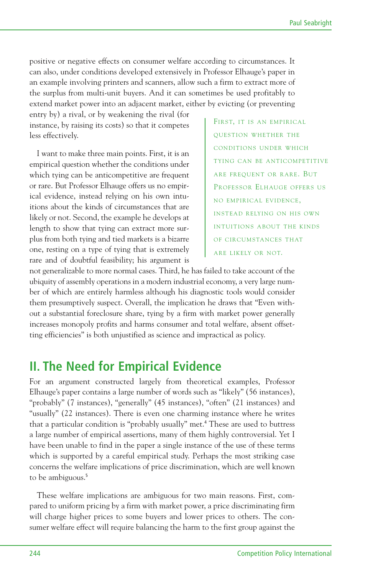positive or negative effects on consumer welfare according to circumstances. It can also, under conditions developed extensively in Professor Elhauge's paper in an example involving printers and scanners, allow such a firm to extract more of the surplus from multi-unit buyers. And it can sometimes be used profitably to extend market power into an adjacent market, either by evicting (or preventing

entry by) a rival, or by weakening the rival (for instance, by raising its costs) so that it competes less effectively.

I want to make three main points. First, it is an empirical question whether the conditions under which tying can be anticompetitive are frequent or rare. But Professor Elhauge offers us no empirical evidence, instead relying on his own intuitions about the kinds of circumstances that are likely or not. Second, the example he develops at length to show that tying can extract more surplus from both tying and tied markets is a bizarre one, resting on a type of tying that is extremely rare and of doubtful feasibility; his argument is

FIRST, IT IS AN EMPIRICAL QUESTION WHETHER THE CONDITIONS UNDER WHICH TYING CAN BE ANTICOMPETITIVE ARE FREQUENT OR RARE. BUT PROFESSOR ELHAUGE OFFERS US NO EMPIRICAL EVIDENCE, INSTEAD RELYING ON HIS OWN INTUITIONS ABOUT THE KINDS OF CIRCUMSTANCES THAT ARE LIKELY OR NOT.

not generalizable to more normal cases. Third, he has failed to take account of the ubiquity of assembly operations in a modern industrial economy, a very large number of which are entirely harmless although his diagnostic tools would consider them presumptively suspect. Overall, the implication he draws that "Even without a substantial foreclosure share, tying by a firm with market power generally increases monopoly profits and harms consumer and total welfare, absent offsetting efficiencies" is both unjustified as science and impractical as policy.

#### **II. The Need for Empirical Evidence**

For an argument constructed largely from theoretical examples, Professor Elhauge's paper contains a large number of words such as "likely" (56 instances), "probably" (7 instances), "generally" (45 instances), "often" (21 instances) and "usually" (22 instances). There is even one charming instance where he writes that a particular condition is "probably usually" met. <sup>4</sup> These are used to buttress a large number of empirical assertions, many of them highly controversial. Yet I have been unable to find in the paper a single instance of the use of these terms which is supported by a careful empirical study. Perhaps the most striking case concerns the welfare implications of price discrimination, which are well known to be ambiguous. 5

These welfare implications are ambiguous for two main reasons. First, compared to uniform pricing by a firm with market power, a price discriminating firm will charge higher prices to some buyers and lower prices to others. The consumer welfare effect will require balancing the harm to the first group against the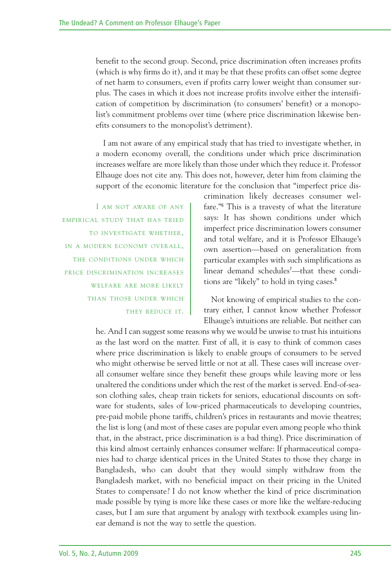benefit to the second group. Second, price discrimination often increases profits (which is why firms do it), and it may be that these profits can offset some degree of net harm to consumers, even if profits carry lower weight than consumer surplus. The cases in which it does not increase profits involve either the intensification of competition by discrimination (to consumers' benefit) or a monopolist's commitment problems over time (where price discrimination likewise benefits consumers to the monopolist's detriment).

I am not aware of any empirical study that has tried to investigate whether, in a modern economy overall, the conditions under which price discrimination increases welfare are more likely than those under which they reduce it. Professor Elhauge does not cite any. This does not, however, deter him from claiming the support of the economic literature for the conclusion that "imperfect price dis-

I AM NOT AWARE OF ANY EMPIRICAL STUDY THAT HAS TRIED TO INVESTIGATE WHETHER, IN A MODERN ECONOMY OVERALL, THE CONDITIONS UNDER WHICH PRICE DISCRIMINATION INCREASES WELFARE ARE MORE LIKELY THAN THOSE UNDER WHICH THEY REDUCE IT.

crimination likely decreases consumer welfare."<sup>6</sup> This is a travesty of what the literature says: It has shown conditions under which imperfect price discrimination lowers consumer and total welfare, and it is Professor Elhauge's own assertion—based on generalization from particular examples with such simplifications as linear demand schedules 7 —that these conditions are "likely" to hold in tying cases. 8

Not knowing of empirical studies to the contrary either, I cannot know whether Professor Elhauge's intuitions are reliable. But neither can

he. And I can suggest some reasons why we would be unwise to trust his intuitions as the last word on the matter. First of all, it is easy to think of common cases where price discrimination is likely to enable groups of consumers to be served who might otherwise be served little or not at all. These cases will increase overall consumer welfare since they benefit these groups while leaving more or less unaltered the conditions under which the rest of the market is served. End-of-season clothing sales, cheap train tickets for seniors, educational discounts on software for students, sales of low-priced pharmaceuticals to developing countries, pre-paid mobile phone tariffs, children's prices in restaurants and movie theatres; the list is long (and most of these cases are popular even among people who think that, in the abstract, price discrimination is a bad thing). Price discrimination of this kind almost certainly enhances consumer welfare: If pharmaceutical companies had to charge identical prices in the United States to those they charge in Bangladesh, who can doubt that they would simply withdraw from the Bangladesh market, with no beneficial impact on their pricing in the United States to compensate? I do not know whether the kind of price discrimination made possible by tying is more like these cases or more like the welfare-reducing cases, but I am sure that argument by analogy with textbook examples using linear demand is not the way to settle the question.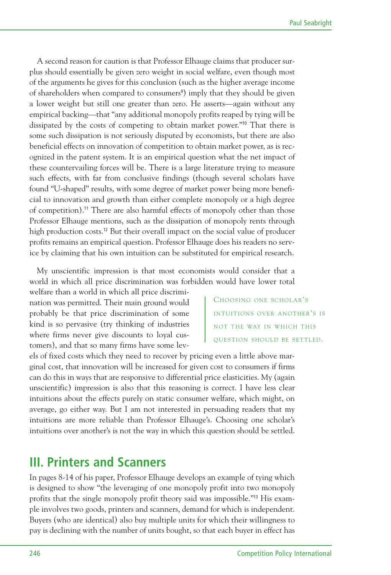A second reason for caution is that Professor Elhauge claims that producer surplus should essentially be given zero weight in social welfare, even though most of the arguments he gives for this conclusion (such as the higher average income of shareholders when compared to consumers 9 ) imply that they should be given a lower weight but still one greater than zero. He asserts—again without any empirical backing—that "any additional monopoly profits reaped by tying will be dissipated by the costs of competing to obtain market power."<sup>10</sup> That there is some such dissipation is not seriously disputed by economists, but there are also beneficial effects on innovation of competition to obtain market power, as is recognized in the patent system. It is an empirical question what the net impact of these countervailing forces will be. There is a large literature trying to measure such effects, with far from conclusive findings (though several scholars have found "U-shaped" results, with some degree of market power being more beneficial to innovation and growth than either complete monopoly or a high degree of competition). <sup>11</sup> There are also harmful effects of monopoly other than those Professor Elhauge mentions, such as the dissipation of monopoly rents through high production costs.<sup>12</sup> But their overall impact on the social value of producer profits remains an empirical question. Professor Elhauge does his readers no service by claiming that his own intuition can be substituted for empirical research.

My unscientific impression is that most economists would consider that a world in which all price discrimination was forbidden would have lower total

welfare than a world in which all price discrimination was permitted. Their main ground would probably be that price discrimination of some kind is so pervasive (try thinking of industries where firms never give discounts to loyal customers), and that so many firms have some lev-

CHOOSING ONE SCHOLAR'S INTUITIONS OVER ANOTHER'S IS NOT THE WAY IN WHICH THIS QUESTION SHOULD BE SETTLED.

els of fixed costs which they need to recover by pricing even a little above marginal cost, that innovation will be increased for given cost to consumers if firms can do this in ways that are responsive to differential price elasticities. My (again unscientific) impression is also that this reasoning is correct. I have less clear intuitions about the effects purely on static consumer welfare, which might, on average, go either way. But I am not interested in persuading readers that my intuitions are more reliable than Professor Elhauge's. Choosing one scholar's intuitions over another's is not the way in which this question should be settled.

#### **III. Printers and Scanners**

In pages 8-14 of his paper, Professor Elhauge develops an example of tying which is designed to show "the leveraging of one monopoly profit into two monopoly profits that the single monopoly profit theory said was impossible."<sup>13</sup> His example involves two goods, printers and scanners, demand for which is independent. Buyers (who are identical) also buy multiple units for which their willingness to pay is declining with the number of units bought, so that each buyer in effect has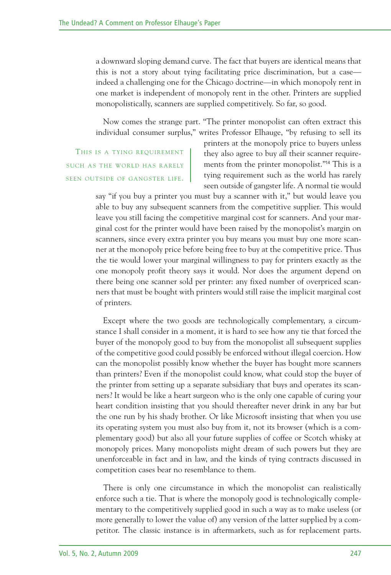a downward sloping demand curve. The fact that buyers are identical means that this is not a story about tying facilitating price discrimination, but a case indeed a challenging one for the Chicago doctrine—in which monopoly rent in one market is independent of monopoly rent in the other. Printers are supplied monopolistically, scanners are supplied competitively. So far, so good.

Now comes the strange part. "The printer monopolist can often extract this individual consumer surplus," writes Professor Elhauge, "by refusing to sell its

THIS IS A TYING REQUIREMENT SUCH AS THE WORLD HAS RARELY SEEN OUTSIDE OF GANGSTER LIFE. printers at the monopoly price to buyers unless they also agree to buy *all* their scanner requirements from the printer monopolist."<sup>14</sup> This is a tying requirement such as the world has rarely seen outside of gangster life. A normal tie would

say "if you buy a printer you must buy a scanner with it," but would leave you able to buy any subsequent scanners from the competitive supplier. This would leave you still facing the competitive marginal cost for scanners. And your marginal cost for the printer would have been raised by the monopolist's margin on scanners, since every extra printer you buy means you must buy one more scanner at the monopoly price before being free to buy at the competitive price. Thus the tie would lower your marginal willingness to pay for printers exactly as the one monopoly profit theory says it would. Nor does the argument depend on there being one scanner sold per printer: any fixed number of overpriced scanners that must be bought with printers would still raise the implicit marginal cost of printers.

Except where the two goods are technologically complementary, a circumstance I shall consider in a moment, it is hard to see how any tie that forced the buyer of the monopoly good to buy from the monopolist all subsequent supplies of the competitive good could possibly be enforced without illegal coercion. How can the monopolist possibly know whether the buyer has bought more scanners than printers? Even if the monopolist could know, what could stop the buyer of the printer from setting up a separate subsidiary that buys and operates its scanners? It would be like a heart surgeon who is the only one capable of curing your heart condition insisting that you should thereafter never drink in any bar but the one run by his shady brother. Or like Microsoft insisting that when you use its operating system you must also buy from it, not its browser (which is a complementary good) but also all your future supplies of coffee or Scotch whisky at monopoly prices. Many monopolists might dream of such powers but they are unenforceable in fact and in law, and the kinds of tying contracts discussed in competition cases bear no resemblance to them.

There is only one circumstance in which the monopolist can realistically enforce such a tie. That is where the monopoly good is technologically complementary to the competitively supplied good in such a way as to make useless (or more generally to lower the value of) any version of the latter supplied by a competitor. The classic instance is in aftermarkets, such as for replacement parts.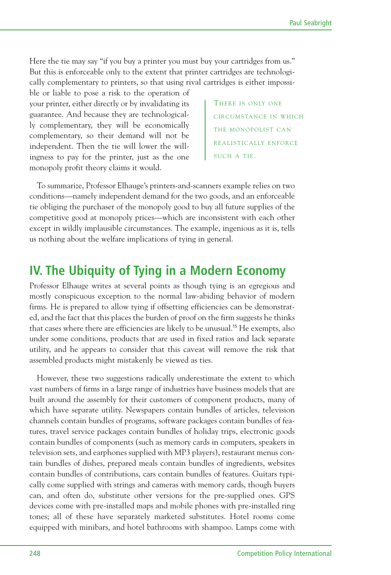Here the tie may say "if you buy a printer you must buy your cartridges from us." But this is enforceable only to the extent that printer cartridges are technologically complementary to printers, so that using rival cartridges is either impossi-

ble or liable to pose a risk to the operation of your printer, either directly or by invalidating its guarantee. And because they are technologically complementary, they will be economically complementary, so their demand will not be independent. Then the tie will lower the willingness to pay for the printer, just as the one monopoly profit theory claims it would.

THERE IS ONLY ONE CIRCUMSTANCE IN WHICH THE MONOPOLIST CAN REALISTICALLY ENFORCE SUCH A TIE.

To summarize, Professor Elhauge's printers-and-scanners example relies on two conditions—namely independent demand for the two goods, and an enforceable tie obliging the purchaser of the monopoly good to buy all future supplies of the competitive good at monopoly prices—which are inconsistent with each other except in wildly implausible circumstances. The example, ingenious as it is, tells us nothing about the welfare implications of tying in general.

#### **IV. The Ubiquity of Tying in a Modern Economy**

Professor Elhauge writes at several points as though tying is an egregious and mostly conspicuous exception to the normal law-abiding behavior of modern firms. He is prepared to allow tying if offsetting efficiencies can be demonstrated, and the fact that this places the burden of proof on the firm suggests he thinks that cases where there are efficiencies are likely to be unusual. <sup>15</sup> He exempts, also under some conditions, products that are used in fixed ratios and lack separate utility, and he appears to consider that this caveat will remove the risk that assembled products might mistakenly be viewed as ties.

However, these two suggestions radically underestimate the extent to which vast numbers of firms in a large range of industries have business models that are built around the assembly for their customers of component products, many of which have separate utility. Newspapers contain bundles of articles, television channels contain bundles of programs, software packages contain bundles of features, travel service packages contain bundles of holiday trips, electronic goods contain bundles of components (such as memory cards in computers, speakers in television sets, and earphones supplied with MP3 players), restaurant menus contain bundles of dishes, prepared meals contain bundles of ingredients, websites contain bundles of contributions, cars contain bundles of features. Guitars typically come supplied with strings and cameras with memory cards, though buyers can, and often do, substitute other versions for the pre-supplied ones. GPS devices come with pre-installed maps and mobile phones with pre-installed ring tones; all of these have separately marketed substitutes. Hotel rooms come equipped with minibars, and hotel bathrooms with shampoo. Lamps come with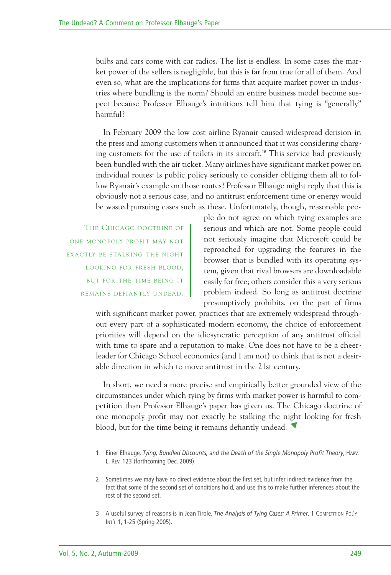bulbs and cars come with car radios. The list is endless. In some cases the market power of the sellers is negligible, but this is far from true for all of them. And even so, what are the implications for firms that acquire market power in industries where bundling is the norm? Should an entire business model become suspect because Professor Elhauge's intuitions tell him that tying is "generally" harmful?

In February 2009 the low cost airline Ryanair caused widespread derision in the press and among customers when it announced that it was considering charging customers for the use of toilets in its aircraft. <sup>16</sup> This service had previously been bundled with the air ticket. Many airlines have significant market power on individual routes: Is public policy seriously to consider obliging them all to follow Ryanair's example on those routes? Professor Elhauge might reply that this is obviously not a serious case, and no antitrust enforcement time or energy would be wasted pursuing cases such as these. Unfortunately, though, reasonable peo-

THE CHICAGO DOCTRINE OF ONE MONOPOLY PROFIT MAY NOT EXACTLY BE STALKING THE NIGHT LOOKING FOR FRESH BLOOD, BUT FOR THE TIME BEING IT REMAINS DEFIANTLY UNDEAD.

ple do not agree on which tying examples are serious and which are not. Some people could not seriously imagine that Microsoft could be reproached for upgrading the features in the browser that is bundled with its operating system, given that rival browsers are downloadable easily for free; others consider this a very serious problem indeed. So long as antitrust doctrine presumptively prohibits, on the part of firms

with significant market power, practices that are extremely widespread throughout every part of a sophisticated modern economy, the choice of enforcement priorities will depend on the idiosyncratic perception of any antitrust official with time to spare and a reputation to make. One does not have to be a cheerleader for Chicago School economics (and I am not) to think that is not a desirable direction in which to move antitrust in the 21st century.

In short, we need a more precise and empirically better grounded view of the circumstances under which tying by firms with market power is harmful to competition than Professor Elhauge's paper has given us. The Chicago doctrine of one monopoly profit may not exactly be stalking the night looking for fresh blood, but for the time being it remains defiantly undead. ▼

<sup>1</sup> Einer Elhauge, *Tying, Bundled Discounts, and the Death of the Single Monopoly Profit Theory*, HARV. L. REV. 123 (forthcoming Dec. 2009).

<sup>2</sup> Sometimes we may have no direct evidence about the first set, but infer indirect evidence from the fact that some of the second set of conditions hold, and use this to make further inferences about the rest of the second set.

<sup>3</sup> A useful survey of reasons is in Jean Tirole, *The Analysis of Tying Cases: A Primer*, 1 COMPETITION POL'Y INT'L 1, 1-25 (Spring 2005).